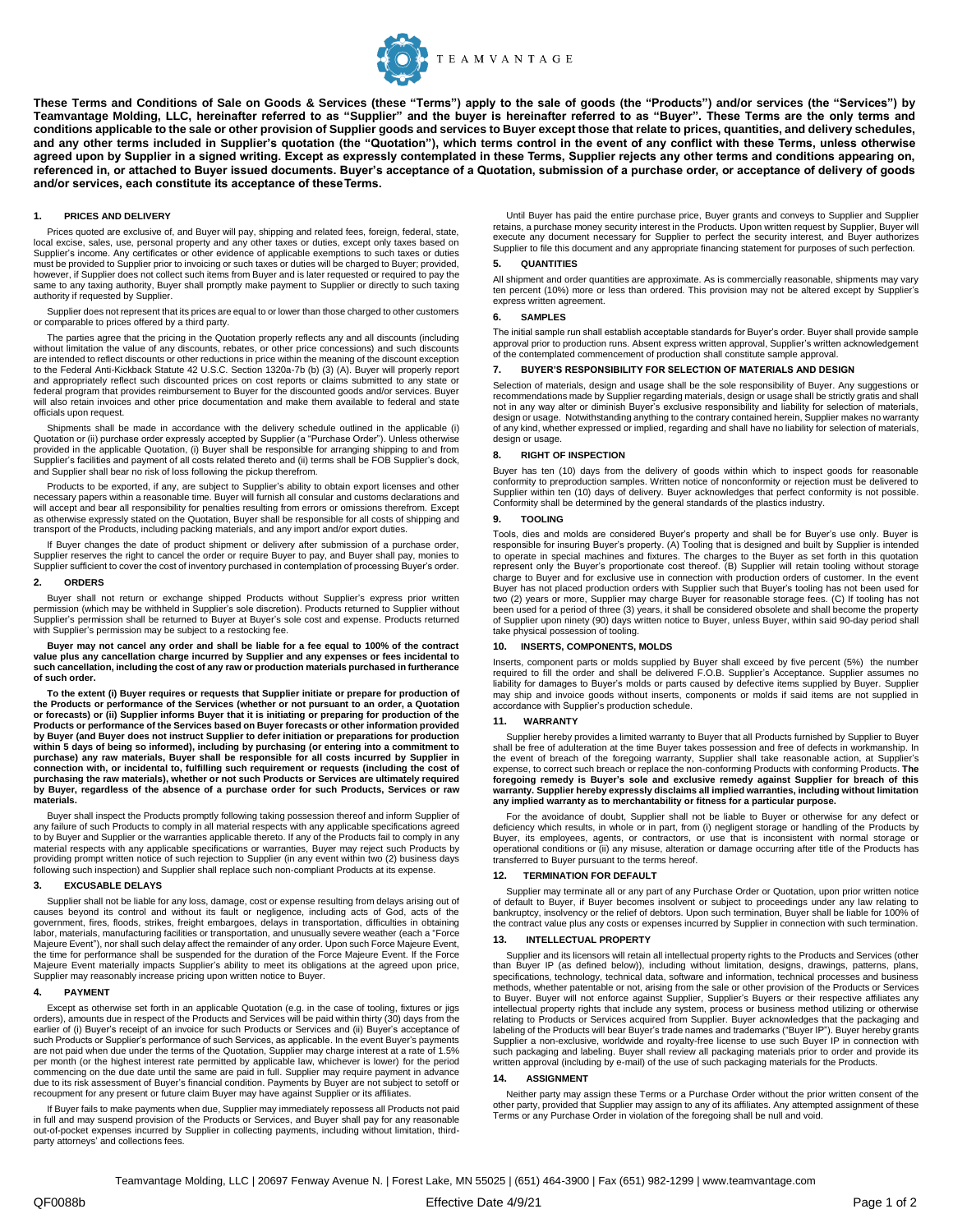

**These Terms and Conditions of Sale on Goods & Services (these "Terms") apply to the sale of goods (the "Products") and/or services (the "Services") by Teamvantage Molding, LLC, hereinafter referred to as "Supplier" and the buyer is hereinafter referred to as "Buyer". These Terms are the only terms and conditions applicable to the sale or other provision of Supplier goods and services to Buyer except those that relate to prices, quantities, and delivery schedules,**  and any other terms included in Supplier's quotation (the "Quotation"), which terms control in the event of any conflict with these Terms, unless otherwise **agreed upon by Supplier in a signed writing. Except as expressly contemplated in these Terms, Supplier rejects any other terms and conditions appearing on, referenced in, or attached to Buyer issued documents. Buyer's acceptance of a Quotation, submission of a purchase order, or acceptance of delivery of goods and/or services, each constitute its acceptance of theseTerms.**

### **1. PRICES AND DELIVERY**

Prices quoted are exclusive of, and Buyer will pay, shipping and related fees, foreign, federal, state, local excise, sales, use, personal property and any other taxes or duties, except only taxes based on Supplier's income. Any certificates or other evidence of applicable exemptions to such taxes or duties must be provided to Supplier prior to invoicing or such taxes or duties will be charged to Buyer; provided, however, if Supplier does not collect such items from Buyer and is later requested or required to pay the same to any taxing authority, Buyer shall promptly make payment to Supplier or directly to such taxing authority if requested by Supplier.

Supplier does not represent that its prices are equal to or lower than those charged to other customers or comparable to prices offered by a third party.

The parties agree that the pricing in the Quotation properly reflects any and all discounts (including without limitation the value of any discounts, rebates, or other price concessions) and such discounts are intended to reflect discounts or other reductions in price within the meaning of the discount exception to the Federal Anti-Kickback Statute 42 U.S.C. Section 1320a-7b (b) (3) (A). Buyer will properly report and appropriately reflect such discounted prices on cost reports or claims submitted to any state or federal program that provides reimbursement to Buyer for the discounted goods and/or services. Buyer will also retain invoices and other price documentation and make them available to federal and state officials upon request.

Shipments shall be made in accordance with the delivery schedule outlined in the applicable (i) Quotation or (ii) purchase order expressly accepted by Supplier (a "Purchase Order"). Unless otherwise provided in the applicable Quotation, (i) Buyer shall be responsible for arranging shipping to and from Supplier's facilities and payment of all costs related thereto and (ii) terms shall be FOB Supplier's dock, and Supplier shall bear no risk of loss following the pickup therefrom.

Products to be exported, if any, are subject to Supplier's ability to obtain export licenses and other necessary papers within a reasonable time. Buyer will furnish all consular and customs declarations and will accept and bear all responsibility for penalties resulting from errors or omissions therefrom. Except as otherwise expressly stated on the Quotation, Buyer shall be responsible for all costs of shipping and transport of the Products, including packing materials, and any import and/or export duties.

If Buyer changes the date of product shipment or delivery after submission of a purchase order, Supplier reserves the right to cancel the order or require Buyer to pay, and Buyer shall pay, monies to Supplier sufficient to cover the cost of inventory purchased in contemplation of processing Buyer's order.

### **2. ORDERS**

Buyer shall not return or exchange shipped Products without Supplier's express prior written permission (which may be withheld in Supplier's sole discretion). Products returned to Supplier without Supplier's permission shall be returned to Buyer at Buyer's sole cost and expense. Products returned with Supplier's permission may be subject to a restocking fee.

**Buyer may not cancel any order and shall be liable for a fee equal to 100% of the contract value plus any cancellation charge incurred by Supplier and any expenses or fees incidental to such cancellation, including the cost of any raw or production materials purchased in furtherance of such order.**

To the extent (i) Buyer requires or requests that Supplier initiate or prepare for production of<br>the Products or performance of the Services (whether or not pursuant to an order, a Quotation **or forecasts) or (ii) Supplier informs Buyer that it is initiating or preparing for production of the**  Products or performance of the Services based on Buyer forecasts or other information provided<br>by Buyer (and Buyer does not instruct Supplier to defer initiation or preparations for production **within 5 days of being so informed), including by purchasing (or entering into a commitment to**  purchase) any raw materials, Buyer shall be responsible for all costs incurred by Supplier in<br>connection with, or incidental to, fulfilling such requirement or requests (including the cost of **purchasing the raw materials), whether or not such Products or Services are ultimately required by Buyer, regardless of the absence of a purchase order for such Products, Services or raw materials.**

Buyer shall inspect the Products promptly following taking possession thereof and inform Supplier of any failure of such Products to comply in all material respects with any applicable specifications agreed to by Buyer and Supplier or the warranties applicable thereto. If any of the Products fail to comply in any material respects with any applicable specifications or warranties, Buyer may reject such Products by providing prompt written notice of such rejection to Supplier (in any event within two (2) business days following such inspection) and Supplier shall replace such non-compliant Products at its expense.

#### **3. EXCUSABLE DELAYS**

Supplier shall not be liable for any loss, damage, cost or expense resulting from delays arising out of causes beyond its control and without its fault or negligence, including acts of God, acts of the government, fires, floods, strikes, freight embargoes, delays in transportation, difficulties in obtaining labor, materials, manufacturing facilities or transportation, and unusually severe weather (each a "Force Majeure Event"), nor shall such delay affect the remainder of any order. Upon such Force Majeure Event, the time for performance shall be suspended for the duration of the Force Majeure Event. If the Force Majeure Event materially impacts Supplier's ability to meet its obligations at the agreed upon price, Supplier may reasonably increase pricing upon written notice to Buyer.

## **4. PAYMENT**

Except as otherwise set forth in an applicable Quotation (e.g. in the case of tooling, fixtures or jigs orders), amounts due in respect of the Products and Services will be paid within thirty (30) days from the earlier of (i) Buyer's receipt of an invoice for such Products or Services and (ii) Buyer's acceptance of such Products or Supplier's performance of such Services, as applicable. In the event Buyer's payments are not paid when due under the terms of the Quotation, Supplier may charge interest at a rate of 1.5% per month (or the highest interest rate permitted by applicable law, whichever is lower) for the period commencing on the due date until the same are paid in full. Supplier may require payment in advance due to its risk assessment of Buyer's financial condition. Payments by Buyer are not subject to setoff or recoupment for any present or future claim Buyer may have against Supplier or its affiliates.

If Buyer fails to make payments when due, Supplier may immediately repossess all Products not paid in full and may suspend provision of the Products or Services, and Buyer shall pay for any reasonable out-of-pocket expenses incurred by Supplier in collecting payments, including without limitation, thirdparty attorneys' and collections fees.

Until Buyer has paid the entire purchase price, Buyer grants and conveys to Supplier and Supplier retains, a purchase money security interest in the Products. Upon written request by Supplier, Buyer will execute any document necessary for Supplier to perfect the security interest, and Buyer authorizes Supplier to file this document and any appropriate financing statement for purposes of such perfection.

# **5. QUANTITIES**

All shipment and order quantities are approximate. As is commercially reasonable, shipments may vary ten percent (10%) more or less than ordered. This provision may not be altered except by Supplier's express written agreement.

## **6. SAMPLES**

The initial sample run shall establish acceptable standards for Buyer's order. Buyer shall provide sample approval prior to production runs. Absent express written approval, Supplier's written acknowledgement of the contemplated commencement of production shall constitute sample approval.

### **7. BUYER'S RESPONSIBILITY FOR SELECTION OF MATERIALS AND DESIGN**

Selection of materials, design and usage shall be the sole responsibility of Buyer. Any suggestions or recommendations made by Supplier regarding materials, design or usage shall be strictly gratis and shall<br>not in any way alter or diminish Buyer's exclusive responsibility and liability for selection of materials,<br>design or of any kind, whether expressed or implied, regarding and shall have no liability for selection of materials, design or usage.

### **8. RIGHT OF INSPECTION**

Buyer has ten (10) days from the delivery of goods within which to inspect goods for reasonable conformity to preproduction samples. Written notice of nonconformity or rejection must be delivered to Supplier within ten (10) days of delivery. Buyer acknowledges that perfect conformity is not possible. Conformity shall be determined by the general standards of the plastics industry.

## **9. TOOLING**

Tools, dies and molds are considered Buyer's property and shall be for Buyer's use only. Buyer is responsible for insuring Buyer's property. (A) Tooling that is designed and built by Supplier is intended to operate in special machines and fixtures. The charges to the Buyer as set forth in this quotation represent only the Buyer's proportionate cost thereof. (B) Supplier will retain tooling without storage charge to Buyer and for exclusive use in connection with production orders of customer. In the event Buyer has not placed production orders with Supplier such that Buyer's tooling has not been used for two (2) years or more, Supplier may charge Buyer for reasonable storage fees. (C) If tooling has not been used for a period of three (3) years, it shall be considered obsolete and shall become the property of Supplier upon ninety (90) days written notice to Buyer, unless Buyer, within said 90-day period shall take physical possession of tooling.

## **10. INSERTS, COMPONENTS, MOLDS**

Inserts, component parts or molds supplied by Buyer shall exceed by five percent (5%) the number required to fill the order and shall be delivered F.O.B. Supplier's Acceptance. Supplier assumes no liability for damages to Buyer's molds or parts caused by defective items supplied by Buyer. Supplier may ship and invoice goods without inserts, components or molds if said items are not supplied in accordance with Supplier's production schedule.

#### **11. WARRANTY**

Supplier hereby provides a limited warranty to Buyer that all Products furnished by Supplier to Buyer shall be free of adulteration at the time Buyer takes possession and free of defects in workmanship. In the event of breach of the foregoing warranty, Supplier shall take reasonable action, at Supplier's expense, to correct such breach or replace the non-conforming Products with conforming Products. **The foregoing remedy is Buyer's sole and exclusive remedy against Supplier for breach of this warranty. Supplier hereby expressly disclaims all implied warranties, including without limitation any implied warranty as to merchantability or fitness for a particular purpose.**

For the avoidance of doubt, Supplier shall not be liable to Buyer or otherwise for any defect or deficiency which results, in whole or in part, from (i) negligent storage or handling of the Products by Buyer, its employees, agents, or contractors, or use that is inconsistent with normal storage or operational conditions or (ii) any misuse, alteration or damage occurring after title of the Products has transferred to Buyer pursuant to the terms hereof.

## **12. TERMINATION FOR DEFAULT**

Supplier may terminate all or any part of any Purchase Order or Quotation, upon prior written notice of default to Buyer, if Buyer becomes insolvent or subject to proceedings under any law relating to bankruptcy, insolvency or the relief of debtors. Upon such termination, Buyer shall be liable for 100% of the contract value plus any costs or expenses incurred by Supplier in connection with such termination.

## **13. INTELLECTUAL PROPERTY**

Supplier and its licensors will retain all intellectual property rights to the Products and Services (other than Buyer IP (as defined below)), including without limitation, designs, drawings, patterns, plans, specifications, technology, technical data, software and information, technical processes and business<br>methods, whether patentable or not, arising from the sale or other provision of the Products or Services<br>to Buyer. Buye intellectual property rights that include any system, process or business method utilizing or otherwise relating to Products or Services acquired from Supplier. Buyer acknowledges that the packaging and labeling of the Products will bear Buyer's trade names and trademarks ("Buyer IP"). Buyer hereby grants Supplier a non-exclusive, worldwide and royalty-free license to use such Buyer IP in connection with such packaging and labeling. Buyer shall review all packaging materials prior to order and provide its written approval (including by e-mail) of the use of such packaging materials for the Products

#### **14. ASSIGNMENT**

Neither party may assign these Terms or a Purchase Order without the prior written consent of the other party, provided that Supplier may assign to any of its affiliates. Any attempted assignment of these Terms or any Purchase Order in violation of the foregoing shall be null and void.